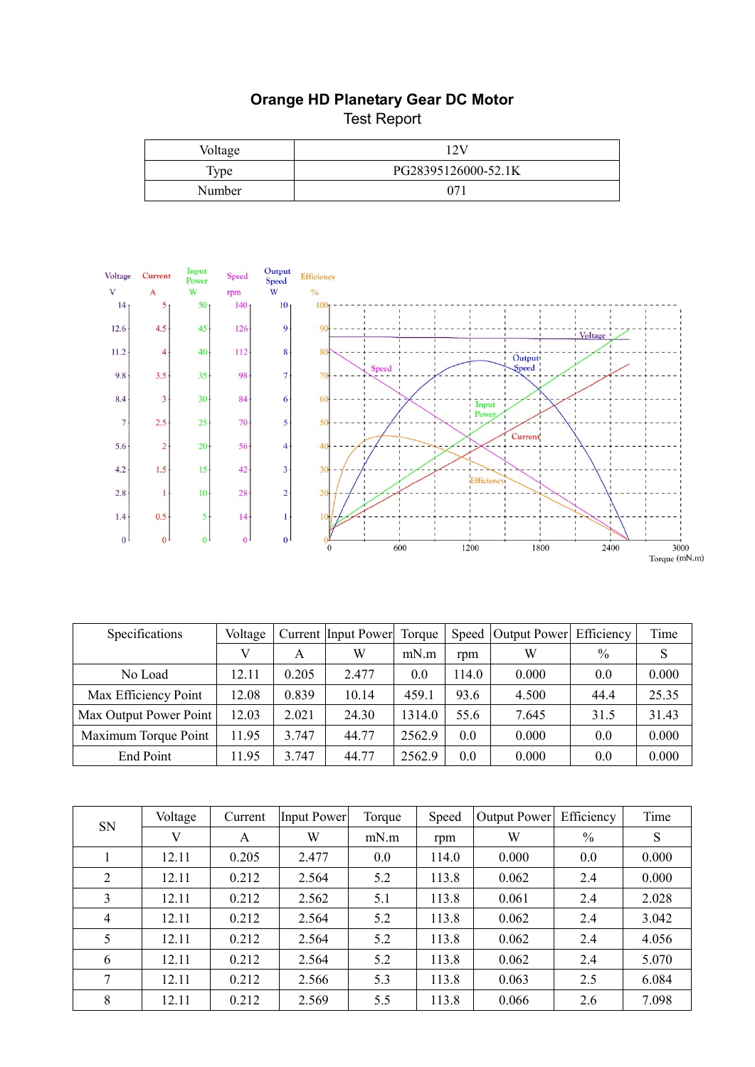## **Orange HD Planetary Gear DC Motor**  Test Report

| Voltage     |                     |  |  |  |  |
|-------------|---------------------|--|--|--|--|
| <b>Type</b> | PG28395126000-52.1K |  |  |  |  |
| Number      | 071                 |  |  |  |  |



| Specifications         | Voltage |       | Current Input Power | Torque |       | Speed Output Power | Efficiency | Time  |
|------------------------|---------|-------|---------------------|--------|-------|--------------------|------------|-------|
|                        |         | A     | W                   | mN.m   | rpm   | W                  | $\%$       | S     |
| No Load                | 12.11   | 0.205 | 2.477               | 0.0    | 114.0 | 0.000              | 0.0        | 0.000 |
| Max Efficiency Point   | 12.08   | 0.839 | 10.14               | 459.1  | 93.6  | 4.500              | 44.4       | 25.35 |
| Max Output Power Point | 12.03   | 2.021 | 24.30               | 1314.0 | 55.6  | 7.645              | 31.5       | 31.43 |
| Maximum Torque Point   | 11.95   | 3.747 | 44.77               | 2562.9 | 0.0   | 0.000              | 0.0        | 0.000 |
| End Point              | 11.95   | 3.747 | 44.77               | 2562.9 | 0.0   | 0.000              | 0.0        | 0.000 |

| <b>SN</b>      | Voltage | Current | <b>Input Power</b> | Torque | Speed | <b>Output Power</b> | Efficiency | Time  |
|----------------|---------|---------|--------------------|--------|-------|---------------------|------------|-------|
|                | V       | A       | W                  | mN.m   | rpm   | W                   | $\%$       | S     |
|                | 12.11   | 0.205   | 2.477              | 0.0    | 114.0 | 0.000               | 0.0        | 0.000 |
| $\overline{2}$ | 12.11   | 0.212   | 2.564              | 5.2    | 113.8 | 0.062               | 2.4        | 0.000 |
| 3              | 12.11   | 0.212   | 2.562              | 5.1    | 113.8 | 0.061               | 2.4        | 2.028 |
| $\overline{4}$ | 12.11   | 0.212   | 2.564              | 5.2    | 113.8 | 0.062               | 2.4        | 3.042 |
| 5              | 12.11   | 0.212   | 2.564              | 5.2    | 113.8 | 0.062               | 2.4        | 4.056 |
| 6              | 12.11   | 0.212   | 2.564              | 5.2    | 113.8 | 0.062               | 2.4        | 5.070 |
| 7              | 12.11   | 0.212   | 2.566              | 5.3    | 113.8 | 0.063               | 2.5        | 6.084 |
| 8              | 12.11   | 0.212   | 2.569              | 5.5    | 113.8 | 0.066               | 2.6        | 7.098 |